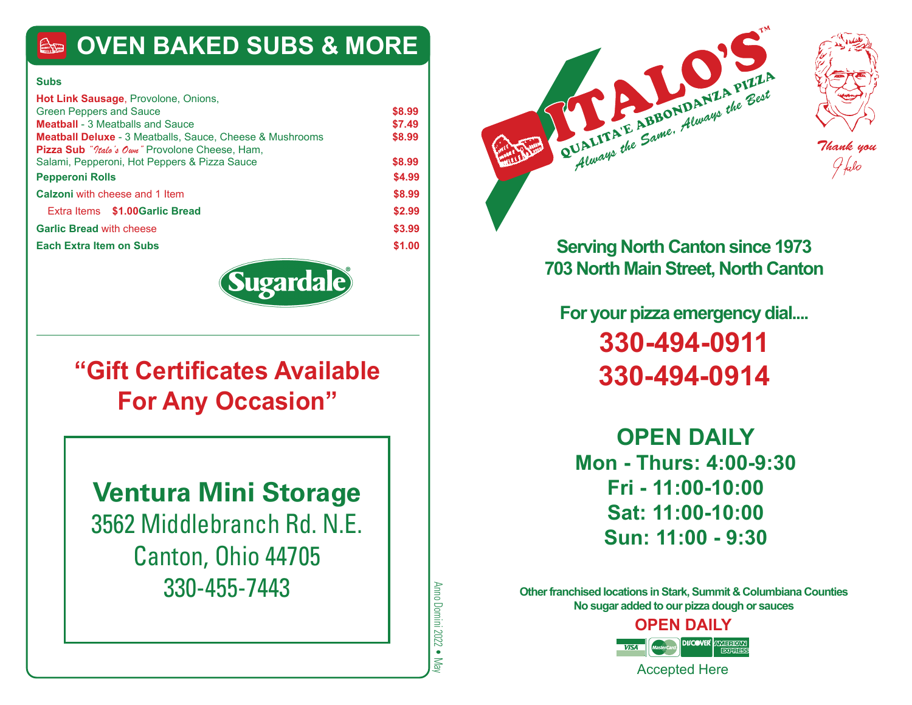### **OVEN BAKED SUBS & MORE**

#### **Subs**

| <b>Hot Link Sausage, Provolone, Onions,</b>                     |        |
|-----------------------------------------------------------------|--------|
| <b>Green Peppers and Sauce</b>                                  | \$8.99 |
| <b>Meatball</b> - 3 Meatballs and Sauce                         | \$7.49 |
| <b>Meatball Deluxe</b> - 3 Meatballs, Sauce, Cheese & Mushrooms | \$8.99 |
| <b>Pizza Sub</b> " <i>Itale's Own</i> " Provolone Cheese, Ham,  |        |
| Salami, Pepperoni, Hot Peppers & Pizza Sauce                    | \$8.99 |
| <b>Pepperoni Rolls</b>                                          | \$4.99 |
| <b>Calzoni</b> with cheese and 1 Item                           | \$8.99 |
| Extra Items \$1,00Garlic Bread                                  | \$2.99 |
| <b>Garlic Bread with cheese</b>                                 | \$3.99 |
| <b>Each Extra Item on Subs</b>                                  | \$1.00 |
|                                                                 |        |



### **"Gift Certificates Available For Any Occasion"**

**Ventura Mini Storage** 3562 Middlebranch Rd. N.E. Canton, Ohio 44705 330-455-7443

Anno Domini 2022 ● May Anno Domini 2022 • May





**Serving North Canton since 1973 703 North Main Street, North Canton**

**For your pizza emergency dial.... 330-494-0911 330-494-0914**

**OPEN DAILY Mon - Thurs: 4:00-9:30 Fri - 11:00-10:00 Sat: 11:00-10:00 Sun: 11:00 - 9:30**

**Other franchised locations in Stark, Summit & Columbiana Counties No sugar added to our pizza dough or sauces**

**OPEN DAILY**

Accepted Here